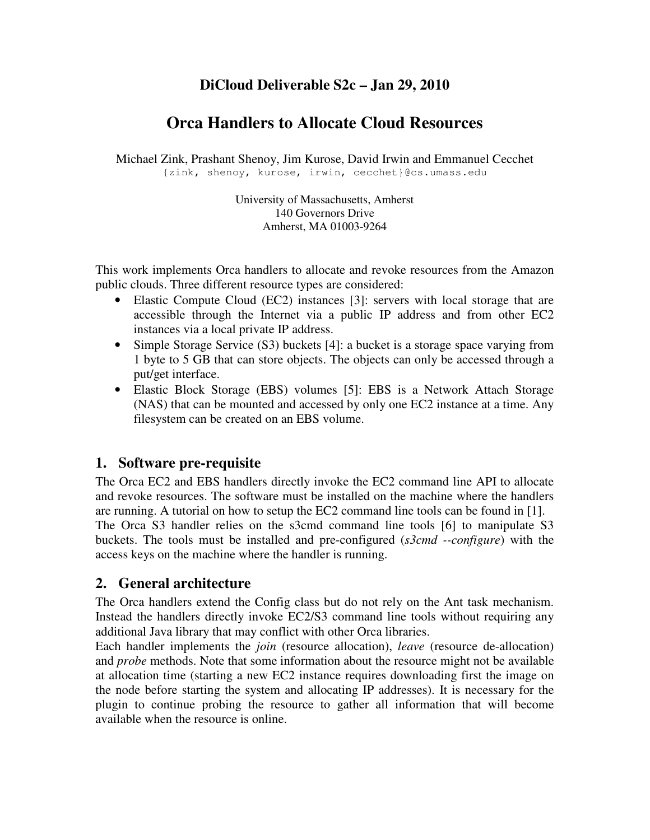# **DiCloud Deliverable S2c – Jan 29, 2010**

# **Orca Handlers to Allocate Cloud Resources**

Michael Zink, Prashant Shenoy, Jim Kurose, David Irwin and Emmanuel Cecchet {zink, shenoy, kurose, irwin, cecchet}@cs.umass.edu

> University of Massachusetts, Amherst 140 Governors Drive Amherst, MA 01003-9264

This work implements Orca handlers to allocate and revoke resources from the Amazon public clouds. Three different resource types are considered:

- Elastic Compute Cloud (EC2) instances [3]: servers with local storage that are accessible through the Internet via a public IP address and from other EC2 instances via a local private IP address.
- Simple Storage Service (S3) buckets [4]: a bucket is a storage space varying from 1 byte to 5 GB that can store objects. The objects can only be accessed through a put/get interface.
- Elastic Block Storage (EBS) volumes [5]: EBS is a Network Attach Storage (NAS) that can be mounted and accessed by only one EC2 instance at a time. Any filesystem can be created on an EBS volume.

# **1. Software pre-requisite**

The Orca EC2 and EBS handlers directly invoke the EC2 command line API to allocate and revoke resources. The software must be installed on the machine where the handlers are running. A tutorial on how to setup the EC2 command line tools can be found in [1]. The Orca S3 handler relies on the s3cmd command line tools [6] to manipulate S3 buckets. The tools must be installed and pre-configured (*s3cmd --configure*) with the access keys on the machine where the handler is running.

# **2. General architecture**

The Orca handlers extend the Config class but do not rely on the Ant task mechanism. Instead the handlers directly invoke EC2/S3 command line tools without requiring any additional Java library that may conflict with other Orca libraries.

Each handler implements the *join* (resource allocation), *leave* (resource de-allocation) and *probe* methods. Note that some information about the resource might not be available at allocation time (starting a new EC2 instance requires downloading first the image on the node before starting the system and allocating IP addresses). It is necessary for the plugin to continue probing the resource to gather all information that will become available when the resource is online.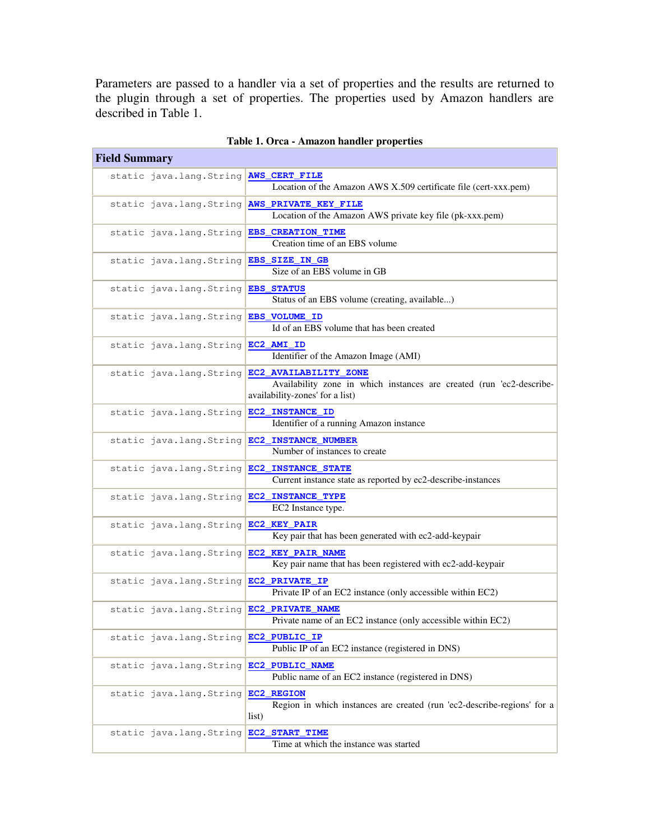Parameters are passed to a handler via a set of properties and the results are returned to the plugin through a set of properties. The properties used by Amazon handlers are described in Table 1.

| Table 1. Orca - Amazon handler properties             |                                                                                                                                  |  |
|-------------------------------------------------------|----------------------------------------------------------------------------------------------------------------------------------|--|
| <b>Field Summary</b>                                  |                                                                                                                                  |  |
| static java.lang.String                               | <b>AWS_CERT_FILE</b><br>Location of the Amazon AWS X.509 certificate file (cert-xxx.pem)                                         |  |
| static java.lang.String                               | AWS_PRIVATE_KEY_FILE<br>Location of the Amazon AWS private key file (pk-xxx.pem)                                                 |  |
| static java.lang.String                               | EBS_CREATION_TIME<br>Creation time of an EBS volume                                                                              |  |
| static java.lang.String                               | EBS_SIZE_IN_GB<br>Size of an EBS volume in GB                                                                                    |  |
| static java.lang.String                               | <b>EBS_STATUS</b><br>Status of an EBS volume (creating, available)                                                               |  |
| static java.lang.String                               | EBS VOLUME ID<br>Id of an EBS volume that has been created                                                                       |  |
| static java.lang.String                               | EC2 AMI ID<br>Identifier of the Amazon Image (AMI)                                                                               |  |
| static java.lang.String                               | EC2 AVAILABILITY ZONE<br>Availability zone in which instances are created (run 'ec2-describe-<br>availability-zones' for a list) |  |
| static java.lang.String                               | EC2_INSTANCE_ID<br>Identifier of a running Amazon instance                                                                       |  |
| static java.lang.String                               | EC2_INSTANCE_NUMBER<br>Number of instances to create                                                                             |  |
| static java.lang.String                               | EC2_INSTANCE_STATE<br>Current instance state as reported by ec2-describe-instances                                               |  |
| static java.lang.String                               | EC2_INSTANCE_TYPE<br>EC2 Instance type.                                                                                          |  |
| static java.lang.String                               | EC2_KEY_PAIR<br>Key pair that has been generated with ec2-add-keypair                                                            |  |
| static java.lang.String                               | EC2 KEY PAIR NAME<br>Key pair name that has been registered with ec2-add-keypair                                                 |  |
| static java.lang.String                               | EC2_PRIVATE_IP<br>Private IP of an EC2 instance (only accessible within EC2)                                                     |  |
| static java.lang.String <mark>EC2_PRIVATE_NAME</mark> | Private name of an EC2 instance (only accessible within EC2)                                                                     |  |
| static java.lang.String                               | EC2_PUBLIC_IP<br>Public IP of an EC2 instance (registered in DNS)                                                                |  |
| static java.lang.String                               | EC2_PUBLIC_NAME<br>Public name of an EC2 instance (registered in DNS)                                                            |  |
| static java.lang.String                               | EC2_REGION<br>Region in which instances are created (run 'ec2-describe-regions' for a<br>list)                                   |  |
| static java.lang.String                               | EC2 START TIME<br>Time at which the instance was started                                                                         |  |

| Table 1. Orca - Amazon handler properties |  |
|-------------------------------------------|--|
|                                           |  |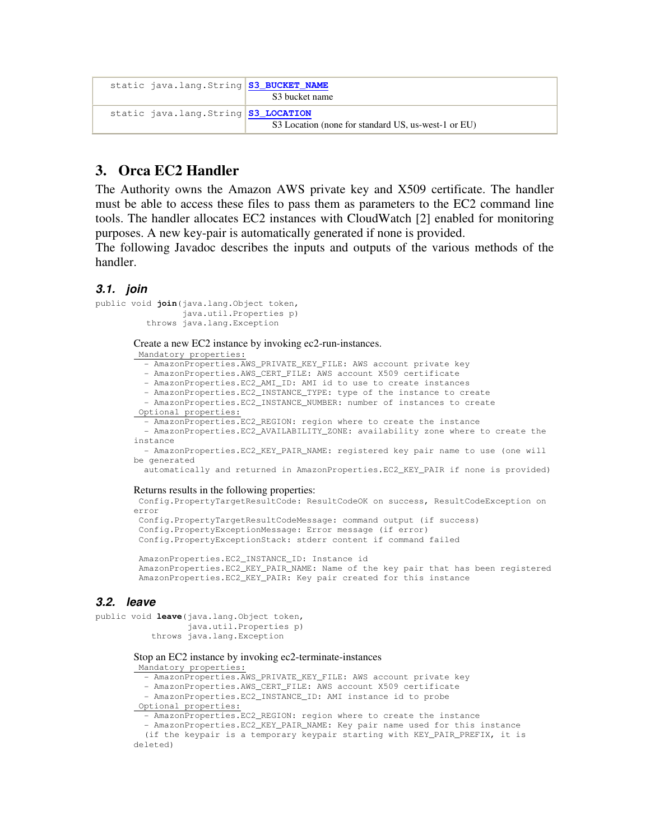| static java.lang.String S3_BUCKET_NAME | S3 bucket name                                      |
|----------------------------------------|-----------------------------------------------------|
| static java.lang.String S3_LOCATION    | S3 Location (none for standard US, us-west-1 or EU) |

# **3. Orca EC2 Handler**

The Authority owns the Amazon AWS private key and X509 certificate. The handler must be able to access these files to pass them as parameters to the EC2 command line tools. The handler allocates EC2 instances with CloudWatch [2] enabled for monitoring purposes. A new key-pair is automatically generated if none is provided.

The following Javadoc describes the inputs and outputs of the various methods of the handler.

### **3.1. join**

```
public void join(java.lang.Object token, 
                   java.util.Properties p) 
           throws java.lang.Exception
```
Create a new EC2 instance by invoking ec2-run-instances.

Mandatory properties:

- AmazonProperties.AWS\_PRIVATE\_KEY\_FILE: AWS account private key

- AmazonProperties.AWS\_CERT\_FILE: AWS account X509 certificate

- AmazonProperties.EC2\_AMI\_ID: AMI id to use to create instances

 - AmazonProperties.EC2\_INSTANCE\_TYPE: type of the instance to create - AmazonProperties.EC2\_INSTANCE\_NUMBER: number of instances to create

Optional properties:

- AmazonProperties.EC2\_REGION: region where to create the instance

 - AmazonProperties.EC2\_AVAILABILITY\_ZONE: availability zone where to create the instance

 - AmazonProperties.EC2\_KEY\_PAIR\_NAME: registered key pair name to use (one will be generated

automatically and returned in AmazonProperties.EC2\_KEY\_PAIR if none is provided)

#### Returns results in the following properties:

 Config.PropertyTargetResultCode: ResultCodeOK on success, ResultCodeException on error

```
 Config.PropertyTargetResultCodeMessage: command output (if success) 
 Config.PropertyExceptionMessage: Error message (if error) 
 Config.PropertyExceptionStack: stderr content if command failed
```
 AmazonProperties.EC2\_INSTANCE\_ID: Instance id AmazonProperties.EC2\_KEY\_PAIR\_NAME: Name of the key pair that has been registered AmazonProperties.EC2\_KEY\_PAIR: Key pair created for this instance

## **3.2. leave**

```
public void leave(java.lang.Object token, 
                    java.util.Properties p) 
            throws java.lang.Exception
```
#### Stop an EC2 instance by invoking ec2-terminate-instances

Mandatory properties:

- AmazonProperties.AWS\_PRIVATE\_KEY\_FILE: AWS account private key

- AmazonProperties.AWS\_CERT\_FILE: AWS account X509 certificate

- AmazonProperties.EC2\_INSTANCE\_ID: AMI instance id to probe

Optional properties:

- AmazonProperties.EC2\_REGION: region where to create the instance

- AmazonProperties.EC2\_KEY\_PAIR\_NAME: Key pair name used for this instance

```
 (if the keypair is a temporary keypair starting with KEY_PAIR_PREFIX, it is 
deleted)
```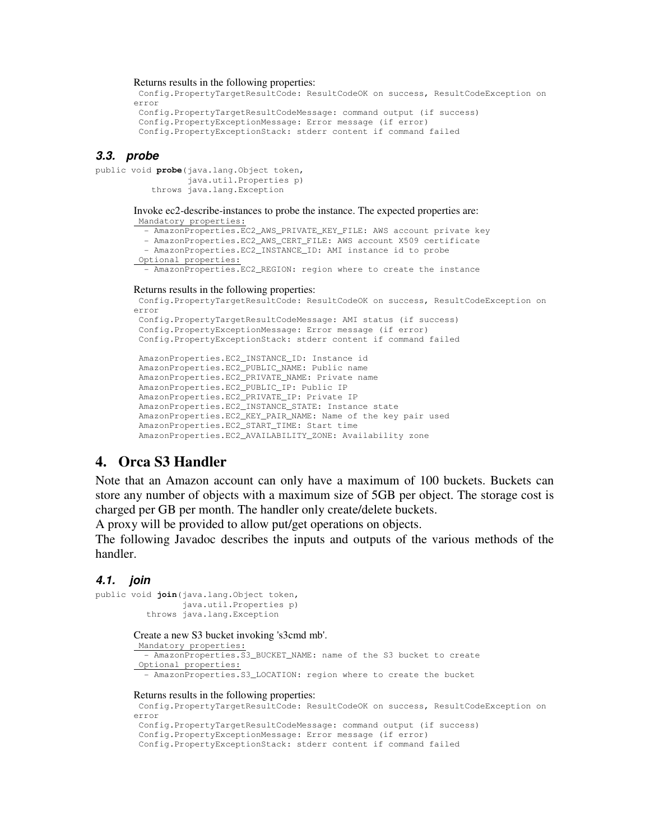#### Returns results in the following properties:

```
 Config.PropertyTargetResultCode: ResultCodeOK on success, ResultCodeException on 
error 
  Config.PropertyTargetResultCodeMessage: command output (if success) 
  Config.PropertyExceptionMessage: Error message (if error) 
  Config.PropertyExceptionStack: stderr content if command failed
```
### **3.3. probe**

```
public void probe(java.lang.Object token, 
                   java.util.Properties p) 
            throws java.lang.Exception
```
Invoke ec2-describe-instances to probe the instance. The expected properties are: Mandatory properties:

- AmazonProperties.EC2\_AWS\_PRIVATE\_KEY\_FILE: AWS account private key

- AmazonProperties.EC2\_AWS\_CERT\_FILE: AWS account X509 certificate

- AmazonProperties.EC2\_INSTANCE\_ID: AMI instance id to probe

Optional properties:

- AmazonProperties.EC2\_REGION: region where to create the instance

#### Returns results in the following properties:

```
 Config.PropertyTargetResultCode: ResultCodeOK on success, ResultCodeException on 
error 
 Config.PropertyTargetResultCodeMessage: AMI status (if success) 
  Config.PropertyExceptionMessage: Error message (if error) 
  Config.PropertyExceptionStack: stderr content if command failed 
  AmazonProperties.EC2_INSTANCE_ID: Instance id 
  AmazonProperties.EC2_PUBLIC_NAME: Public name 
  AmazonProperties.EC2_PRIVATE_NAME: Private name 
  AmazonProperties.EC2_PUBLIC_IP: Public IP 
  AmazonProperties.EC2_PRIVATE_IP: Private IP
```
 AmazonProperties.EC2\_INSTANCE\_STATE: Instance state AmazonProperties.EC2\_KEY\_PAIR\_NAME: Name of the key pair used AmazonProperties.EC2\_START\_TIME: Start time AmazonProperties.EC2\_AVAILABILITY\_ZONE: Availability zone

### **4. Orca S3 Handler**

Note that an Amazon account can only have a maximum of 100 buckets. Buckets can store any number of objects with a maximum size of 5GB per object. The storage cost is charged per GB per month. The handler only create/delete buckets.

A proxy will be provided to allow put/get operations on objects.

The following Javadoc describes the inputs and outputs of the various methods of the handler.

### **4.1. join**

```
public void join(java.lang.Object token, 
                  java.util.Properties p) 
           throws java.lang.Exception
```
#### Create a new S3 bucket invoking 's3cmd mb'.

```
 Mandatory properties:
  - AmazonProperties.S3_BUCKET_NAME: name of the S3 bucket to create
 Optional properties: 
   - AmazonProperties.S3_LOCATION: region where to create the bucket 
Returns results in the following properties: 
 Config.PropertyTargetResultCode: ResultCodeOK on success, ResultCodeException on 
error
```

```
 Config.PropertyTargetResultCodeMessage: command output (if success) 
 Config.PropertyExceptionMessage: Error message (if error)
```
Config.PropertyExceptionStack: stderr content if command failed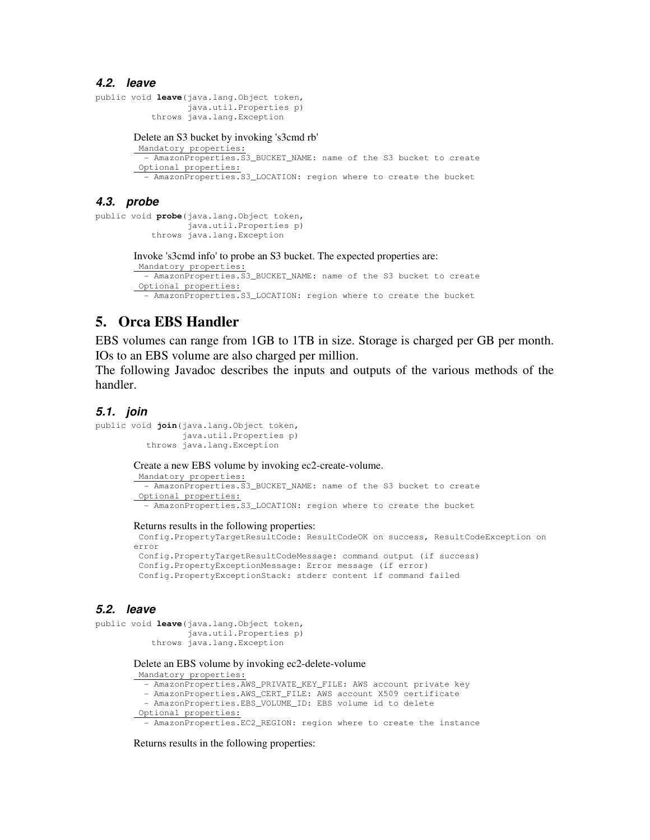### **4.2. leave**

```
public void leave(java.lang.Object token, 
                   java.util.Properties p) 
            throws java.lang.Exception 
       Delete an S3 bucket by invoking 's3cmd rb' 
         Mandatory properties:
          - AmazonProperties.S3_BUCKET_NAME: name of the S3 bucket to create 
         Optional properties:
```
- AmazonProperties.S3\_LOCATION: region where to create the bucket

### **4.3. probe**

```
public void probe(java.lang.Object token, 
                    java.util.Properties p) 
            throws java.lang.Exception
```
Invoke 's3cmd info' to probe an S3 bucket. The expected properties are: Mandatory properties:

```
 - AmazonProperties.S3_BUCKET_NAME: name of the S3 bucket to create 
 Optional properties: 
  - AmazonProperties.S3_LOCATION: region where to create the bucket
```
## **5. Orca EBS Handler**

EBS volumes can range from 1GB to 1TB in size. Storage is charged per GB per month. IOs to an EBS volume are also charged per million.

The following Javadoc describes the inputs and outputs of the various methods of the handler.

### **5.1. join**

```
public void join(java.lang.Object token, 
                  java.util.Properties p) 
           throws java.lang.Exception
```
Create a new EBS volume by invoking ec2-create-volume.

```
 Mandatory properties:
  - AmazonProperties.S3_BUCKET_NAME: name of the S3 bucket to create 
 Optional properties: 
  - AmazonProperties.S3_LOCATION: region where to create the bucket
```
#### Returns results in the following properties:

 Config.PropertyTargetResultCode: ResultCodeOK on success, ResultCodeException on error Config.PropertyTargetResultCodeMessage: command output (if success)

```
 Config.PropertyExceptionMessage: Error message (if error) 
 Config.PropertyExceptionStack: stderr content if command failed
```
### **5.2. leave**

```
public void leave(java.lang.Object token, 
                   java.util.Properties p) 
            throws java.lang.Exception
```
### Delete an EBS volume by invoking ec2-delete-volume

Mandatory properties:

```
 - AmazonProperties.AWS_PRIVATE_KEY_FILE: AWS account private key
```

```
 - AmazonProperties.AWS_CERT_FILE: AWS account X509 certificate
```

```
 - AmazonProperties.EBS_VOLUME_ID: EBS volume id to delete
```

```
 Optional properties:
```
- AmazonProperties.EC2\_REGION: region where to create the instance

Returns results in the following properties: